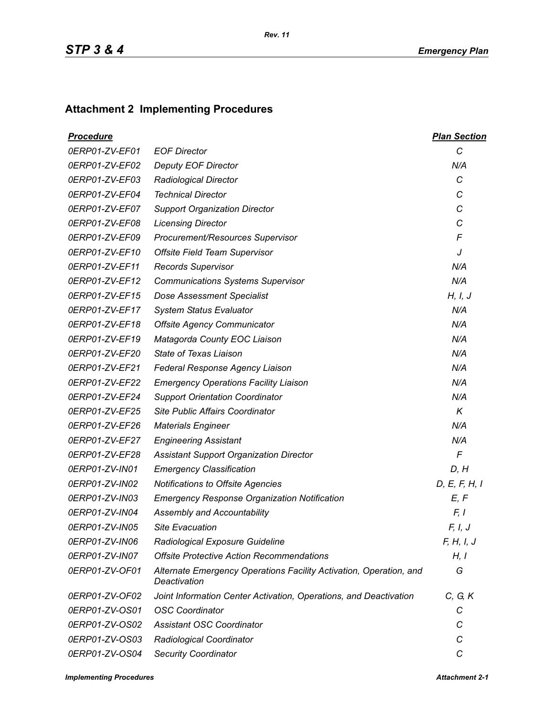## **Attachment 2 Implementing Procedures**

| <b>Procedure</b> |                                                                                    | <b>Plan Section</b> |
|------------------|------------------------------------------------------------------------------------|---------------------|
| 0ERP01-ZV-EF01   | <b>EOF Director</b>                                                                | C                   |
| 0ERP01-ZV-EF02   | <b>Deputy EOF Director</b>                                                         | N/A                 |
| 0ERP01-ZV-EF03   | <b>Radiological Director</b>                                                       | C                   |
| 0ERP01-ZV-EF04   | <b>Technical Director</b>                                                          | C                   |
| 0ERP01-ZV-EF07   | <b>Support Organization Director</b>                                               | C                   |
| 0ERP01-ZV-EF08   | <b>Licensing Director</b>                                                          | C                   |
| 0ERP01-ZV-EF09   | Procurement/Resources Supervisor                                                   | F                   |
| 0ERP01-ZV-EF10   | <b>Offsite Field Team Supervisor</b>                                               | J                   |
| 0ERP01-ZV-EF11   | <b>Records Supervisor</b>                                                          | N/A                 |
| 0ERP01-ZV-EF12   | <b>Communications Systems Supervisor</b>                                           | N/A                 |
| 0ERP01-ZV-EF15   | <b>Dose Assessment Specialist</b>                                                  | H, I, J             |
| 0ERP01-ZV-EF17   | <b>System Status Evaluator</b>                                                     | N/A                 |
| 0ERP01-ZV-EF18   | <b>Offsite Agency Communicator</b>                                                 | N/A                 |
| 0ERP01-ZV-EF19   | Matagorda County EOC Liaison                                                       | N/A                 |
| 0ERP01-ZV-EF20   | State of Texas Liaison                                                             | N/A                 |
| 0ERP01-ZV-EF21   | Federal Response Agency Liaison                                                    | N/A                 |
| 0ERP01-ZV-EF22   | <b>Emergency Operations Facility Liaison</b>                                       | N/A                 |
| 0ERP01-ZV-EF24   | <b>Support Orientation Coordinator</b>                                             | N/A                 |
| 0ERP01-ZV-EF25   | Site Public Affairs Coordinator                                                    | $\kappa$            |
| 0ERP01-ZV-EF26   | <b>Materials Engineer</b>                                                          | N/A                 |
| 0ERP01-ZV-EF27   | <b>Engineering Assistant</b>                                                       | N/A                 |
| 0ERP01-ZV-EF28   | <b>Assistant Support Organization Director</b>                                     | $\sqrt{2}$          |
| 0ERP01-ZV-IN01   | <b>Emergency Classification</b>                                                    | D, H                |
| 0ERP01-ZV-IN02   | Notifications to Offsite Agencies                                                  | D, E, F, H, I       |
| 0ERP01-ZV-IN03   | <b>Emergency Response Organization Notification</b>                                | E, F                |
| 0ERP01-ZV-IN04   | Assembly and Accountability                                                        | F, I                |
| 0ERP01-ZV-IN05   | <b>Site Evacuation</b>                                                             | F, I, J             |
| 0ERP01-ZV-IN06   | Radiological Exposure Guideline                                                    | F, H, I, J          |
| 0ERP01-ZV-IN07   | <b>Offsite Protective Action Recommendations</b>                                   | H, I                |
| 0ERP01-ZV-OF01   | Alternate Emergency Operations Facility Activation, Operation, and<br>Deactivation | G                   |
| 0ERP01-ZV-OF02   | Joint Information Center Activation, Operations, and Deactivation                  | C, G, K             |
| 0ERP01-ZV-OS01   | <b>OSC Coordinator</b>                                                             | С                   |
| 0ERP01-ZV-OS02   | <b>Assistant OSC Coordinator</b>                                                   | С                   |
| 0ERP01-ZV-OS03   | Radiological Coordinator                                                           | С                   |
| 0ERP01-ZV-OS04   | <b>Security Coordinator</b>                                                        | C                   |